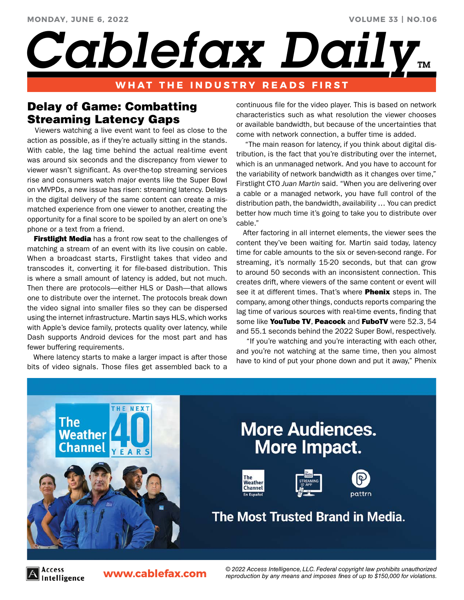# *Cablefax Daily*

### **WHAT THE INDUSTRY READS FIRST**

# Delay of Game: Combatting Streaming Latency Gaps

 Viewers watching a live event want to feel as close to the action as possible, as if they're actually sitting in the stands. With cable, the lag time behind the actual real-time event was around six seconds and the discrepancy from viewer to viewer wasn't significant. As over-the-top streaming services rise and consumers watch major events like the Super Bowl on vMVPDs, a new issue has risen: streaming latency. Delays in the digital delivery of the same content can create a mismatched experience from one viewer to another, creating the opportunity for a final score to be spoiled by an alert on one's phone or a text from a friend.

**Firstlight Media** has a front row seat to the challenges of matching a stream of an event with its live cousin on cable. When a broadcast starts, Firstlight takes that video and transcodes it, converting it for file-based distribution. This is where a small amount of latency is added, but not much. Then there are protocols—either HLS or Dash—that allows one to distribute over the internet. The protocols break down the video signal into smaller files so they can be dispersed using the internet infrastructure. Martin says HLS, which works with Apple's device family, protects quality over latency, while Dash supports Android devices for the most part and has fewer buffering requirements.

 Where latency starts to make a larger impact is after those bits of video signals. Those files get assembled back to a continuous file for the video player. This is based on network characteristics such as what resolution the viewer chooses or available bandwidth, but because of the uncertainties that come with network connection, a buffer time is added.

**VOLUME 33 | NO.106**

 "The main reason for latency, if you think about digital distribution, is the fact that you're distributing over the internet, which is an unmanaged network. And you have to account for the variability of network bandwidth as it changes over time," Firstlight CTO *Juan Martin* said. "When you are delivering over a cable or a managed network, you have full control of the distribution path, the bandwidth, availability … You can predict better how much time it's going to take you to distribute over cable."

 After factoring in all internet elements, the viewer sees the content they've been waiting for. Martin said today, latency time for cable amounts to the six or seven-second range. For streaming, it's normally 15-20 seconds, but that can grow to around 50 seconds with an inconsistent connection. This creates drift, where viewers of the same content or event will see it at different times. That's where **Phenix** steps in. The company, among other things, conducts reports comparing the lag time of various sources with real-time events, finding that some like YouTube TV, Peacock and FuboTV were 52.3, 54 and 55.1 seconds behind the 2022 Super Bowl, respectively.

 "If you're watching and you're interacting with each other, and you're not watching at the same time, then you almost have to kind of put your phone down and put it away," Phenix



Access ntelligence **www.cablefax.com** *© 2022 Access Intelligence, LLC. Federal copyright law prohibits unauthorized reproduction by any means and imposes fines of up to \$150,000 for violations.*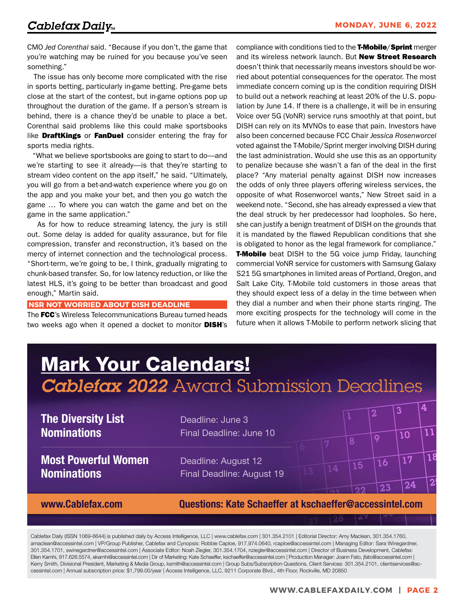CMO *Jed Corenthal* said. "Because if you don't, the game that you're watching may be ruined for you because you've seen something."

 The issue has only become more complicated with the rise in sports betting, particularly in-game betting. Pre-game bets close at the start of the contest, but in-game options pop up throughout the duration of the game. If a person's stream is behind, there is a chance they'd be unable to place a bet. Corenthal said problems like this could make sportsbooks like **DraftKings** or FanDuel consider entering the fray for sports media rights.

 "What we believe sportsbooks are going to start to do—and we're starting to see it already—is that they're starting to stream video content on the app itself," he said. "Ultimately, you will go from a bet-and-watch experience where you go on the app and you make your bet, and then you go watch the game … To where you can watch the game and bet on the game in the same application."

 As for how to reduce streaming latency, the jury is still out. Some delay is added for quality assurance, but for file compression, transfer and reconstruction, it's based on the mercy of internet connection and the technological process. "Short-term, we're going to be, I think, gradually migrating to chunk-based transfer. So, for low latency reduction, or like the latest HLS, it's going to be better than broadcast and good enough," Martin said.

#### **NSR NOT WORRIED ABOUT DISH DEADLINE**

The FCC's Wireless Telecommunications Bureau turned heads two weeks ago when it opened a docket to monitor DISH's compliance with conditions tied to the **T-Mobile/Sprint** merger and its wireless network launch. But New Street Research doesn't think that necessarily means investors should be worried about potential consequences for the operator. The most immediate concern coming up is the condition requiring DISH to build out a network reaching at least 20% of the U.S. population by June 14. If there is a challenge, it will be in ensuring Voice over 5G (VoNR) service runs smoothly at that point, but DISH can rely on its MVNOs to ease that pain. Investors have also been concerned because FCC Chair *Jessica Rosenworcel* voted against the T-Mobile/Sprint merger involving DISH during the last administration. Would she use this as an opportunity to penalize because she wasn't a fan of the deal in the first place? "Any material penalty against DISH now increases the odds of only three players offering wireless services, the opposite of what Rosenworcel wants," New Street said in a weekend note. "Second, she has already expressed a view that the deal struck by her predecessor had loopholes. So here, she can justify a benign treatment of DISH on the grounds that it is mandated by the flawed Republican conditions that she is obligated to honor as the legal framework for compliance." **T-Mobile** beat DISH to the 5G voice jump Friday, launching commercial VoNR service for customers with Samsung Galaxy S21 5G smartphones in limited areas of Portland, Oregon, and Salt Lake City. T-Mobile told customers in those areas that they should expect less of a delay in the time between when they dial a number and when their phone starts ringing. The more exciting prospects for the technology will come in the future when it allows T-Mobile to perform network slicing that

# $\sqrt{2}$   $\sqrt{3}$   $\sqrt{4}$ **Mark Your Calendars!** *Cablefax 2022* Award Submission Deadlines

**The Diversity List** Deadline: June 3

**Most Powerful Women** Deadline: August 12 **Nominations** Final Deadline: August 19

 $\begin{array}{|c|c|c|c|c|}\hline \rule{0pt}{12pt}\quad\quad & \boxed{5} & \boxed{9} & \boxed{10} & \boxed{11} \ \hline \rule{0pt}{12pt}\quad\quad & \boxed{5} & \boxed{7} & \boxed{8} & \boxed{9} & \boxed{10} & \boxed{11} \ \hline \end{array}$ **Nominations** Final Deadline: June 10

 $\begin{array}{|c|c|c|c|c|}\n\hline\n9 & 13 & 14 & 15 & 16 & 17 & 18\n\end{array}$ 

 $\frac{1}{2^2}$   $\frac{1}{2^3}$   $\frac{1}{2^4}$   $\frac{1}{2^5}$  $\frac{27}{27}$   $\frac{28}{29}$   $\frac{29}{9}$ www.Cablefax.com Questions: Kate Schaeffer at kschaeffer@accessintel.com

Cablefax Daily (ISSN 1069-6644) is published daily by Access Intelligence, LLC | www.cablefax.com | 301.354.2101 | Editorial Director: Amy Maclean, 301.354.1760, amaclean@accessintel.com | VP/Group Publisher, Cablefax and Cynopsis: Robbie Caploe, 917.974.0640, rcaploe@accessintel.com | Managing Editor: Sara Winegardner, 301.354.1701, swinegardner@accessintel.com | Associate Editor: Noah Ziegler, 301.354.1704, nziegler@accessintel.com | Director of Business Development, Cablefax: Ellen Kamhi, 917.626.5574, ekamhi@accessintel.com | Dir of Marketing: Kate Schaeffer, kschaeffer@accessintel.com | Production Manager: Joann Fato, jfato@accessintel.com | Kerry Smith, Divisional President, Marketing & Media Group, ksmith@accessintel.com | Group Subs/Subscription Questions, Client Services: 301.354.2101, clientservices@accessintel.com | Annual subscription price: \$1,799.00/year | Access Intelligence, LLC, 9211 Corporate Blvd., 4th Floor, Rockville, MD 20850

1